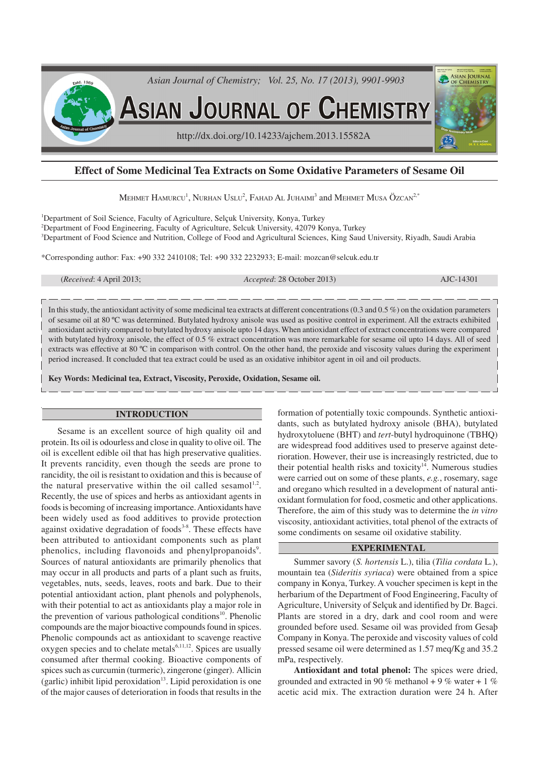

# **Effect of Some Medicinal Tea Extracts on Some Oxidative Parameters of Sesame Oil**

MEHMET  ${\rm H}$ AMURCU<sup>1</sup>,  ${\rm N}$ URHAN  ${\rm U}$ SLU $^2$ ,  ${\rm F}$ AHAD  ${\rm AL}$  JUHAIMI $^3$  and  ${\rm M}$ EHMET  ${\rm M}$ USA ÖZCAN $^{2, *}$ 

<sup>1</sup>Department of Soil Science, Faculty of Agriculture, Selçuk University, Konya, Turkey <sup>2</sup>Department of Food Engineering, Faculty of Agriculture, Selcuk University, 42079 Konya, Turkey <sup>3</sup>Department of Food Science and Nutrition, College of Food and Agricultural Sciences, King Saud University, Riyadh, Saudi Arabia

\*Corresponding author: Fax: +90 332 2410108; Tel: +90 332 2232933; E-mail: mozcan@selcuk.edu.tr

(*Received*: 4 April 2013; *Accepted*: 28 October 2013) AJC-14301

In this study, the antioxidant activity of some medicinal tea extracts at different concentrations (0.3 and 0.5 %) on the oxidation parameters of sesame oil at 80 ºC was determined. Butylated hydroxy anisole was used as positive control in experiment. All the extracts exhibited antioxidant activity compared to butylated hydroxy anisole upto 14 days. When antioxidant effect of extract concentrations were compared with butylated hydroxy anisole, the effect of 0.5 % extract concentration was more remarkable for sesame oil upto 14 days. All of seed extracts was effective at 80 ºC in comparison with control. On the other hand, the peroxide and viscosity values during the experiment period increased. It concluded that tea extract could be used as an oxidative inhibitor agent in oil and oil products.

**Key Words: Medicinal tea, Extract, Viscosity, Peroxide, Oxidation, Sesame oil.**

### **INTRODUCTION**

Sesame is an excellent source of high quality oil and protein. Its oil is odourless and close in quality to olive oil. The oil is excellent edible oil that has high preservative qualities. It prevents rancidity, even though the seeds are prone to rancidity, the oil is resistant to oxidation and this is because of the natural preservative within the oil called sesamol<sup>1,2</sup>. Recently, the use of spices and herbs as antioxidant agents in foods is becoming of increasing importance. Antioxidants have been widely used as food additives to provide protection against oxidative degradation of foods<sup>3-8</sup>. These effects have been attributed to antioxidant components such as plant phenolics, including flavonoids and phenylpropanoids<sup>9</sup>. Sources of natural antioxidants are primarily phenolics that may occur in all products and parts of a plant such as fruits, vegetables, nuts, seeds, leaves, roots and bark. Due to their potential antioxidant action, plant phenols and polyphenols, with their potential to act as antioxidants play a major role in the prevention of various pathological conditions<sup>10</sup>. Phenolic compounds are the major bioactive compounds found in spices. Phenolic compounds act as antioxidant to scavenge reactive oxygen species and to chelate metals<sup>6,11,12</sup>. Spices are usually consumed after thermal cooking. Bioactive components of spices such as curcumin (turmeric), zingerone (ginger). Allicin  $(garlic)$  inhibit lipid peroxidation<sup>13</sup>. Lipid peroxidation is one of the major causes of deterioration in foods that results in the formation of potentially toxic compounds. Synthetic antioxidants, such as butylated hydroxy anisole (BHA), butylated hydroxytoluene (BHT) and *tert*-butyl hydroquinone (TBHQ) are widespread food additives used to preserve against deterioration. However, their use is increasingly restricted, due to their potential health risks and toxicity $14$ . Numerous studies were carried out on some of these plants, *e.g.*, rosemary, sage and oregano which resulted in a development of natural antioxidant formulation for food, cosmetic and other applications. Therefore, the aim of this study was to determine the *in vitro* viscosity, antioxidant activities, total phenol of the extracts of some condiments on sesame oil oxidative stability.

## **EXPERIMENTAL**

Summer savory (*S. hortensis* L.), tilia (*Tilia cordata* L*.*), mountain tea (*Sideritis syriaca*) were obtained from a spice company in Konya, Turkey. A voucher specimen is kept in the herbarium of the Department of Food Engineering, Faculty of Agriculture, University of Selçuk and identified by Dr. Bagci. Plants are stored in a dry, dark and cool room and were grounded before used. Sesame oil was provided from Gesaþ Company in Konya. The peroxide and viscosity values of cold pressed sesame oil were determined as 1.57 meq/Kg and 35.2 mPa, respectively.

**Antioxidant and total phenol:** The spices were dried, grounded and extracted in 90 % methanol + 9 % water + 1 % acetic acid mix. The extraction duration were 24 h. After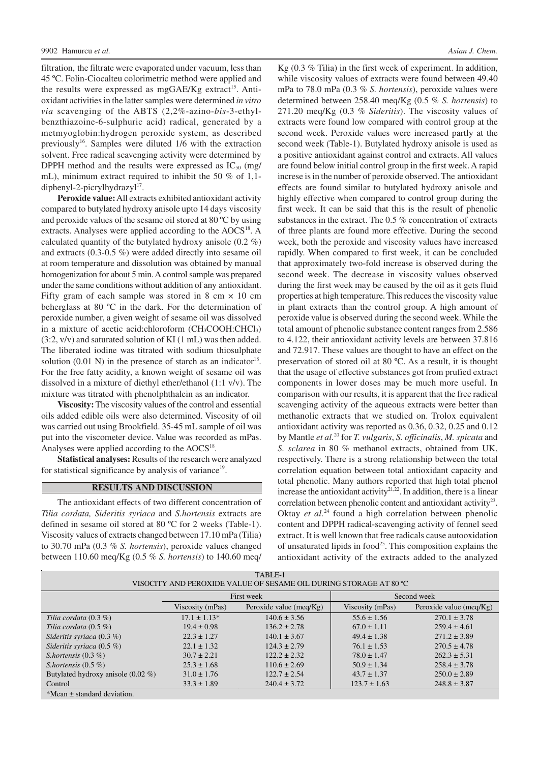filtration, the filtrate were evaporated under vacuum, less than 45 ºC. Folin-Ciocalteu colorimetric method were applied and the results were expressed as mgGAE/Kg extract<sup>15</sup>. Antioxidant activities in the latter samples were determined *in vitro via* scavenging of the ABTS (2,2%-azino-*bis*-3-ethylbenzthiazoine-6-sulphuric acid) radical, generated by a metmyoglobin:hydrogen peroxide system, as described previously<sup>16</sup>. Samples were diluted 1/6 with the extraction solvent. Free radical scavenging activity were determined by DPPH method and the results were expressed as  $IC_{50}$  (mg/ mL), minimum extract required to inhibit the 50 % of 1,1 diphenyl-2-picrylhydrazyl<sup>17</sup>.

**Peroxide value:**All extracts exhibited antioxidant activity compared to butylated hydroxy anisole upto 14 days viscosity and peroxide values of the sesame oil stored at 80 ºC by using extracts. Analyses were applied according to the AOCS<sup>18</sup>. A calculated quantity of the butylated hydroxy anisole (0.2 %) and extracts (0.3-0.5 %) were added directly into sesame oil at room temperature and dissolution was obtained by manual homogenization for about 5 min. A control sample was prepared under the same conditions without addition of any antioxidant. Fifty gram of each sample was stored in  $8 \text{ cm} \times 10 \text{ cm}$ beherglass at 80 ºC in the dark. For the determination of peroxide number, a given weight of sesame oil was dissolved in a mixture of acetic acid:chloroform  $(CH<sub>3</sub>COOH:CHCl<sub>3</sub>)$ (3:2, v/v) and saturated solution of KI (1 mL) was then added. The liberated iodine was titrated with sodium thiosulphate solution  $(0.01 \text{ N})$  in the presence of starch as an indicator<sup>18</sup>. For the free fatty acidity, a known weight of sesame oil was dissolved in a mixture of diethyl ether/ethanol (1:1 v/v). The mixture was titrated with phenolphthalein as an indicator.

**Viscosity:** The viscosity values of the control and essential oils added edible oils were also determined. Viscosity of oil was carried out using Brookfield. 35-45 mL sample of oil was put into the viscometer device. Value was recorded as mPas. Analyses were applied according to the  $AOCS<sup>18</sup>$ .

**Statistical analyses:** Results of the research were analyzed for statistical significance by analysis of variance<sup>19</sup>.

#### **RESULTS AND DISCUSSION**

The antioxidant effects of two different concentration of *Tilia cordata, Sideritis syriaca* and *S.hortensis* extracts are defined in sesame oil stored at 80 ºC for 2 weeks (Table-1). Viscosity values of extracts changed between 17.10 mPa (Tilia) to 30.70 mPa (0.3 % *S. hortensis*), peroxide values changed between 110.60 meq/Kg (0.5 % *S. hortensis*) to 140.60 meq/ Kg (0.3 % Tilia) in the first week of experiment. In addition, while viscosity values of extracts were found between 49.40 mPa to 78.0 mPa (0.3 % *S. hortensis*), peroxide values were determined between 258.40 meq/Kg (0.5 % *S. hortensis*) to 271.20 meq/Kg (0.3 % *Sideritis*). The viscosity values of extracts were found low compared with control group at the second week. Peroxide values were increased partly at the second week (Table-1). Butylated hydroxy anisole is used as a positive antioxidant against control and extracts. All values are found below initial control group in the first week. A rapid increse is in the number of peroxide observed. The antioxidant effects are found similar to butylated hydroxy anisole and highly effective when compared to control group during the first week. It can be said that this is the result of phenolic substances in the extract. The 0.5 % concentration of extracts of three plants are found more effective. During the second week, both the peroxide and viscosity values have increased rapidly. When compared to first week, it can be concluded that approximately two-fold increase is observed during the second week. The decrease in viscosity values observed during the first week may be caused by the oil as it gets fluid properties at high temperature. This reduces the viscosity value in plant extracts than the control group. A high amount of peroxide value is observed during the second week. While the total amount of phenolic substance content ranges from 2.586 to 4.122, their antioxidant activity levels are between 37.816 and 72.917. These values are thought to have an effect on the preservation of stored oil at 80 ºC. As a result, it is thought that the usage of effective substances got from prufied extract components in lower doses may be much more useful. In comparison with our results, it is apparent that the free radical scavenging activity of the aqueous extracts were better than methanolic extracts that we studied on. Trolox equivalent antioxidant activity was reported as 0.36, 0.32, 0.25 and 0.12 by Mantle *et al.*<sup>20</sup> for *T. vulgaris*, *S. officinalis*, *M. spicata* and *S. sclarea* in 80 % methanol extracts, obtained from UK, respectively. There is a strong relationship between the total correlation equation between total antioxidant capacity and total phenolic. Many authors reported that high total phenol increase the antioxidant activity $2^{1,22}$ . In addition, there is a linear correlation between phenolic content and antioxidant activity<sup>23</sup>. Oktay *et al.*<sup>24</sup> found a high correlation between phenolic content and DPPH radical-scavenging activity of fennel seed extract. It is well known that free radicals cause autooxidation of unsaturated lipids in food<sup>25</sup>. This composition explains the antioxidant activity of the extracts added to the analyzed

| TABLE-1                                                           |                  |                           |                  |                           |  |
|-------------------------------------------------------------------|------------------|---------------------------|------------------|---------------------------|--|
| VISOCITY AND PEROXIDE VALUE OF SESAME OIL DURING STORAGE AT 80 °C |                  |                           |                  |                           |  |
|                                                                   |                  |                           |                  |                           |  |
|                                                                   | First week       |                           | Second week      |                           |  |
|                                                                   | Viscosity (mPas) | Peroxide value $(meq/Kg)$ | Viscosity (mPas) | Peroxide value $(meq/Kg)$ |  |
| Tilia cordata $(0.3\%)$                                           | $17.1 \pm 1.13*$ | $140.6 \pm 3.56$          | $55.6 \pm 1.56$  | $270.1 \pm 3.78$          |  |
| Tilia cordata $(0.5\%)$                                           | $19.4 \pm 0.98$  | $136.2 \pm 2.78$          | $67.0 \pm 1.11$  | $259.4 \pm 4.61$          |  |
| Sideritis syriaca $(0.3\%)$                                       | $22.3 \pm 1.27$  | $140.1 \pm 3.67$          | $49.4 \pm 1.38$  | $271.2 \pm 3.89$          |  |
| Sideritis syriaca $(0.5\%)$                                       | $22.1 \pm 1.32$  | $124.3 \pm 2.79$          | $76.1 \pm 1.53$  | $270.5 \pm 4.78$          |  |
| S.hortensis $(0.3\%)$                                             | $30.7 \pm 2.21$  | $122.2 \pm 2.32$          | $78.0 \pm 1.47$  | $262.3 \pm 5.31$          |  |
| S.hortensis $(0.5\%)$                                             | $25.3 \pm 1.68$  | $110.6 \pm 2.69$          | $50.9 \pm 1.34$  | $258.4 \pm 3.78$          |  |
| Butylated hydroxy anisole $(0.02 \%)$                             | $31.0 \pm 1.76$  | $122.7 \pm 2.54$          | $43.7 \pm 1.37$  | $250.0 \pm 2.89$          |  |
| Control                                                           | $33.3 \pm 1.89$  | $240.4 \pm 3.72$          | $123.7 \pm 1.63$ | $248.8 \pm 3.87$          |  |
| $*Mean \pm standard deviation.$                                   |                  |                           |                  |                           |  |